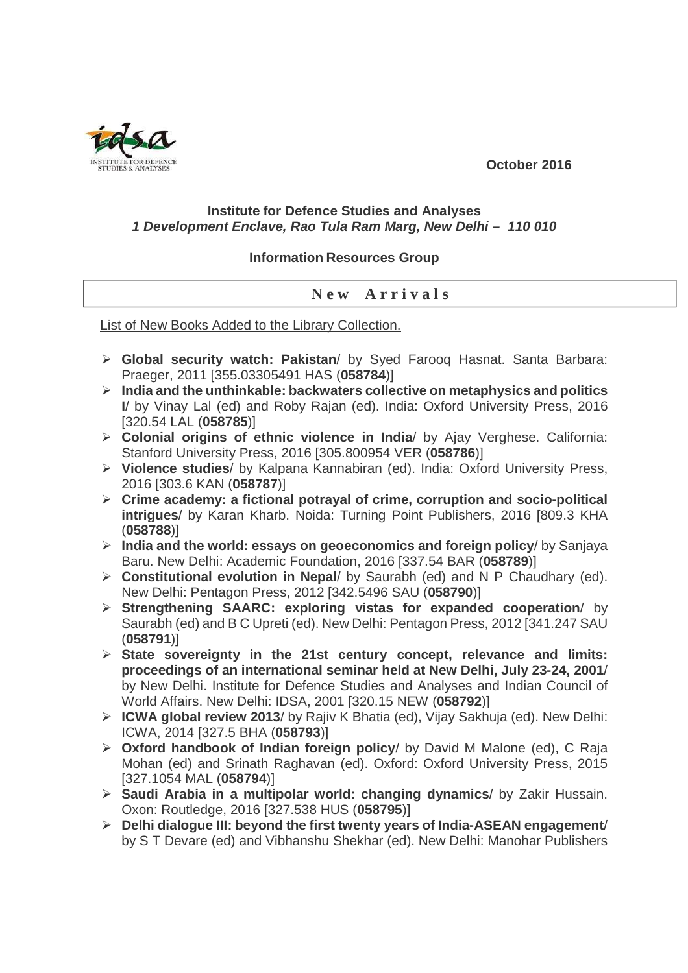**October 2016** 

## **Institute for Defence Studies and Analyses 1 Development Enclave, Rao Tula Ram Marg, New Delhi – 110 010**

## **Information Resources Group**

## **N e w A r r i v a l s**

List of New Books Added to the Library Collection.

- **Global security watch: Pakistan**/ by Syed Farooq Hasnat. Santa Barbara: Praeger, 2011 [355.03305491 HAS (**058784**)]
- **India and the unthinkable: backwaters collective on metaphysics and politics I**/ by Vinay Lal (ed) and Roby Rajan (ed). India: Oxford University Press, 2016 [320.54 LAL (**058785**)]
- **Colonial origins of ethnic violence in India**/ by Ajay Verghese. California: Stanford University Press, 2016 [305.800954 VER (**058786**)]
- **Violence studies**/ by Kalpana Kannabiran (ed). India: Oxford University Press, 2016 [303.6 KAN (**058787**)]
- **Crime academy: a fictional potrayal of crime, corruption and socio-political intrigues**/ by Karan Kharb. Noida: Turning Point Publishers, 2016 [809.3 KHA (**058788**)]
- **India and the world: essays on geoeconomics and foreign policy**/ by Sanjaya Baru. New Delhi: Academic Foundation, 2016 [337.54 BAR (**058789**)]
- **Constitutional evolution in Nepal**/ by Saurabh (ed) and N P Chaudhary (ed). New Delhi: Pentagon Press, 2012 [342.5496 SAU (**058790**)]
- **Strengthening SAARC: exploring vistas for expanded cooperation**/ by Saurabh (ed) and B C Upreti (ed). New Delhi: Pentagon Press, 2012 [341.247 SAU (**058791**)]
- **State sovereignty in the 21st century concept, relevance and limits: proceedings of an international seminar held at New Delhi, July 23-24, 2001**/ by New Delhi. Institute for Defence Studies and Analyses and Indian Council of World Affairs. New Delhi: IDSA, 2001 [320.15 NEW (**058792**)]
- **ICWA global review 2013**/ by Rajiv K Bhatia (ed), Vijay Sakhuja (ed). New Delhi: ICWA, 2014 [327.5 BHA (**058793**)]
- **Oxford handbook of Indian foreign policy**/ by David M Malone (ed), C Raja Mohan (ed) and Srinath Raghavan (ed). Oxford: Oxford University Press, 2015 [327.1054 MAL (**058794**)]
- **Saudi Arabia in a multipolar world: changing dynamics**/ by Zakir Hussain. Oxon: Routledge, 2016 [327.538 HUS (**058795**)]
- **Delhi dialogue III: beyond the first twenty years of India-ASEAN engagement**/ by S T Devare (ed) and Vibhanshu Shekhar (ed). New Delhi: Manohar Publishers